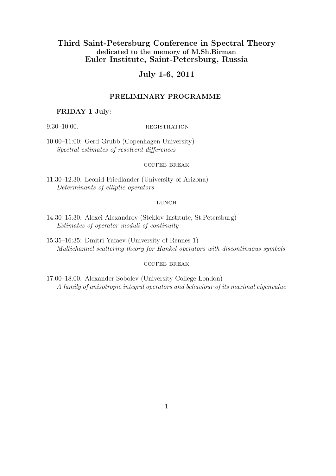# Third Saint-Petersburg Conference in Spectral Theory dedicated to the memory of M.Sh.Birman Euler Institute, Saint-Petersburg, Russia

# July 1-6, 2011

# PRELIMINARY PROGRAMME

### FRIDAY 1 July:

## $9:30-10:00$ : REGISTRATION

10:00–11:00: Gerd Grubb (Copenhagen University) Spectral estimates of resolvent differences

### coffee break

11:30–12:30: Leonid Friedlander (University of Arizona) Determinants of elliptic operators

#### **LUNCH**

- 14:30–15:30: Alexei Alexandrov (Steklov Institute, St.Petersburg) Estimates of operator moduli of continuity
- 15:35–16:35: Dmitri Yafaev (University of Rennes 1) Multichannel scattering theory for Hankel operators with discontinuous symbols

### coffee break

17:00–18:00: Alexander Sobolev (University College London) A family of anisotropic integral operators and behaviour of its maximal eigenvalue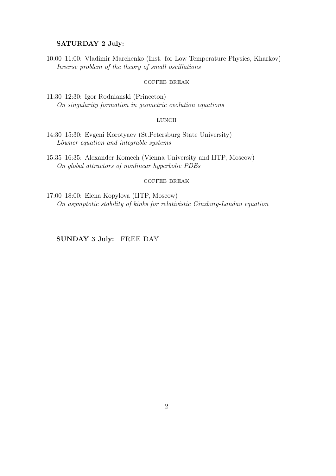# SATURDAY 2 July:

10:00–11:00: Vladimir Marchenko (Inst. for Low Temperature Physics, Kharkov) Inverse problem of the theory of small oscillations

#### coffee break

11:30–12:30: Igor Rodnianski (Princeton) On singularity formation in geometric evolution equations

#### $L$ UNCH

- 14:30–15:30: Evgeni Korotyaev (St.Petersburg State University) Löwner equation and integrable systems
- 15:35–16:35: Alexander Komech (Vienna University and IITP, Moscow) On global attractors of nonlinear hyperbolic PDEs

#### coffee break

17:00–18:00: Elena Kopylova (IITP, Moscow) On asymptotic stability of kinks for relativistic Ginzburg-Landau equation

# SUNDAY 3 July: FREE DAY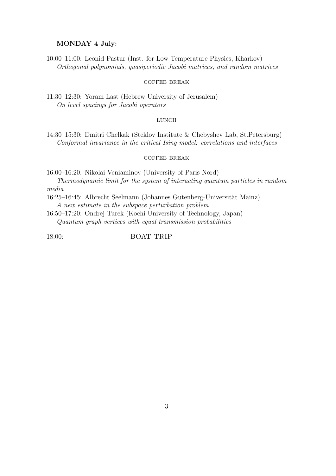## MONDAY 4 July:

10:00–11:00: Leonid Pastur (Inst. for Low Temperature Physics, Kharkov) Orthogonal polynomials, quasiperiodic Jacobi matrices, and random matrices

#### coffee break

11:30–12:30: Yoram Last (Hebrew University of Jerusalem) On level spacings for Jacobi operators

#### LUNCH

14:30–15:30: Dmitri Chelkak (Steklov Institute & Chebyshev Lab, St.Petersburg) Conformal invariance in the critical Ising model: correlations and interfaces

### coffee break

16:00–16:20: Nikolai Veniaminov (University of Paris Nord)

Thermodynamic limit for the system of interacting quantum particles in random media

16:25–16:45: Albrecht Seelmann (Johannes Gutenberg-Universität Mainz)

A new estimate in the subspace perturbation problem

16:50–17:20: Ondrej Turek (Kochi University of Technology, Japan) Quantum graph vertices with equal transmission probabilities

18:00: BOAT TRIP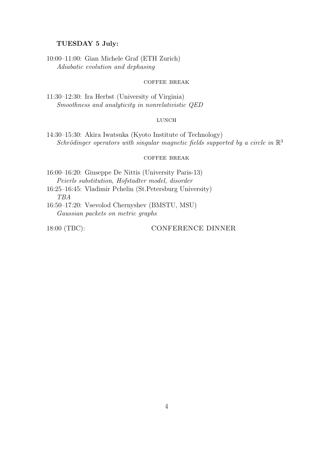## TUESDAY 5 July:

10:00–11:00: Gian Michele Graf (ETH Zurich) Adiabatic evolution and dephasing

#### coffee break

11:30–12:30: Ira Herbst (University of Virginia) Smoothness and analyticity in nonrelativistic QED

#### $L$ UNCH

14:30–15:30: Akira Iwatsuka (Kyoto Institute of Technology) Schrödinger operators with singular magnetic fields supported by a circle in  $\mathbb{R}^3$ 

### coffee break

- 16:00–16:20: Giuseppe De Nittis (University Paris-13) Peierls substitution, Hofstadter model, disorder
- 16:25–16:45: Vladimir Pchelin (St.Petersburg University) TBA
- 16:50–17:20: Vsevolod Chernyshev (BMSTU, MSU) Gaussian packets on metric graphs

18:00 (TBC): CONFERENCE DINNER